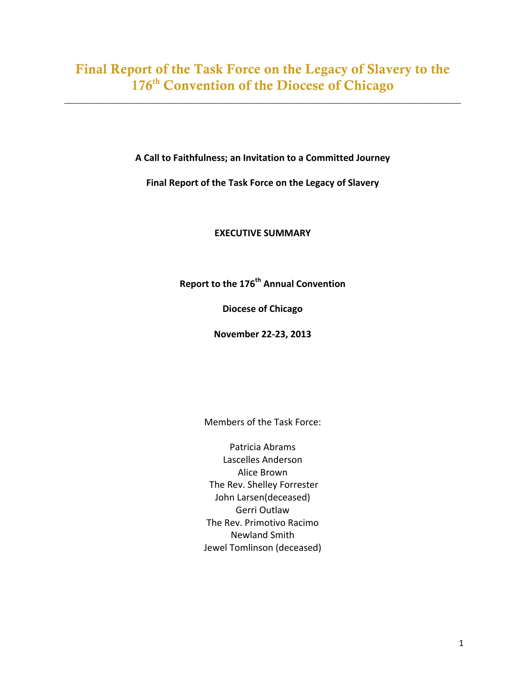# Final Report of the Task Force on the Legacy of Slavery to the 176<sup>th</sup> Convention of the Diocese of Chicago

\_\_\_\_\_\_\_\_\_\_\_\_\_\_\_\_\_\_\_\_\_\_\_\_\_\_\_\_\_\_\_\_\_\_\_\_\_\_\_\_\_\_\_\_\_\_\_\_\_\_\_\_\_\_\_\_\_\_\_\_\_\_\_\_\_\_\_\_\_\_\_\_\_\_\_\_\_\_\_\_\_\_\_\_

A Call to Faithfulness; an Invitation to a Committed Journey

Final Report of the Task Force on the Legacy of Slavery

# **EXECUTIVE SUMMARY**

**Report to the 176<sup>th</sup> Annual Convention** 

**Diocese of Chicago**

**November 22-23, 2013**

Members of the Task Force:

Patricia Abrams Lascelles Anderson **Alice Brown** The Rev. Shelley Forrester John Larsen(deceased) Gerri Outlaw The Rev. Primotivo Racimo Newland Smith Jewel Tomlinson (deceased)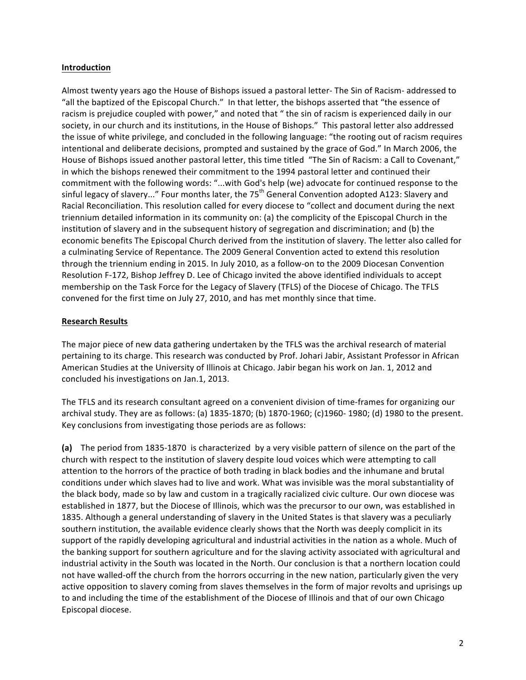#### **Introduction**

Almost twenty years ago the House of Bishops issued a pastoral letter- The Sin of Racism- addressed to "all the baptized of the Episcopal Church." In that letter, the bishops asserted that "the essence of racism is prejudice coupled with power," and noted that " the sin of racism is experienced daily in our society, in our church and its institutions, in the House of Bishops." This pastoral letter also addressed the issue of white privilege, and concluded in the following language: "the rooting out of racism requires intentional and deliberate decisions, prompted and sustained by the grace of God." In March 2006, the House of Bishops issued another pastoral letter, this time titled "The Sin of Racism: a Call to Covenant," in which the bishops renewed their commitment to the 1994 pastoral letter and continued their commitment with the following words: "...with God's help (we) advocate for continued response to the sinful legacy of slavery..." Four months later, the  $75<sup>th</sup>$  General Convention adopted A123: Slavery and Racial Reconciliation. This resolution called for every diocese to "collect and document during the next triennium detailed information in its community on: (a) the complicity of the Episcopal Church in the institution of slavery and in the subsequent history of segregation and discrimination; and (b) the economic benefits The Episcopal Church derived from the institution of slavery. The letter also called for a culminating Service of Repentance. The 2009 General Convention acted to extend this resolution through the triennium ending in 2015. In July 2010, as a follow-on to the 2009 Diocesan Convention Resolution F-172, Bishop Jeffrey D. Lee of Chicago invited the above identified individuals to accept membership on the Task Force for the Legacy of Slavery (TFLS) of the Diocese of Chicago. The TFLS convened for the first time on July 27, 2010, and has met monthly since that time.

#### **Research Results**

The major piece of new data gathering undertaken by the TFLS was the archival research of material pertaining to its charge. This research was conducted by Prof. Johari Jabir, Assistant Professor in African American Studies at the University of Illinois at Chicago. Jabir began his work on Jan. 1, 2012 and concluded his investigations on Jan.1, 2013.

The TFLS and its research consultant agreed on a convenient division of time-frames for organizing our archival study. They are as follows: (a) 1835-1870; (b) 1870-1960; (c)1960- 1980; (d) 1980 to the present. Key conclusions from investigating those periods are as follows:

(a) The period from 1835-1870 is characterized by a very visible pattern of silence on the part of the church with respect to the institution of slavery despite loud voices which were attempting to call attention to the horrors of the practice of both trading in black bodies and the inhumane and brutal conditions under which slaves had to live and work. What was invisible was the moral substantiality of the black body, made so by law and custom in a tragically racialized civic culture. Our own diocese was established in 1877, but the Diocese of Illinois, which was the precursor to our own, was established in 1835. Although a general understanding of slavery in the United States is that slavery was a peculiarly southern institution, the available evidence clearly shows that the North was deeply complicit in its support of the rapidly developing agricultural and industrial activities in the nation as a whole. Much of the banking support for southern agriculture and for the slaving activity associated with agricultural and industrial activity in the South was located in the North. Our conclusion is that a northern location could not have walled-off the church from the horrors occurring in the new nation, particularly given the very active opposition to slavery coming from slaves themselves in the form of major revolts and uprisings up to and including the time of the establishment of the Diocese of Illinois and that of our own Chicago Episcopal diocese.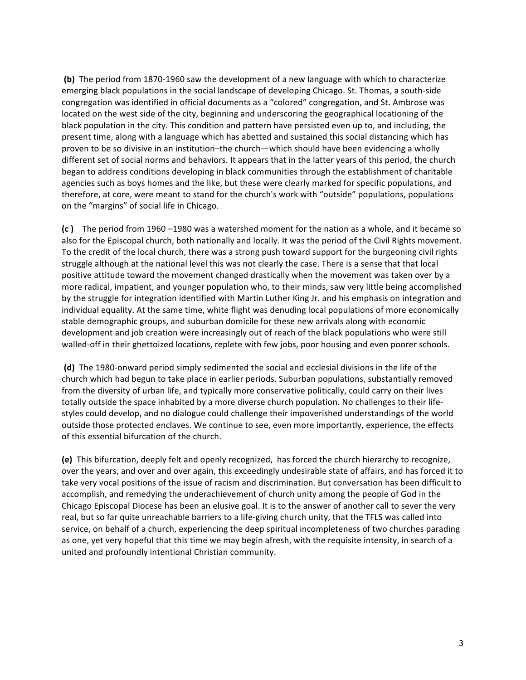**(b)** The period from 1870-1960 saw the development of a new language with which to characterize emerging black populations in the social landscape of developing Chicago. St. Thomas, a south-side congregation was identified in official documents as a "colored" congregation, and St. Ambrose was located on the west side of the city, beginning and underscoring the geographical locationing of the black population in the city. This condition and pattern have persisted even up to, and including, the present time, along with a language which has abetted and sustained this social distancing which has proven to be so divisive in an institution–the church—which should have been evidencing a wholly different set of social norms and behaviors. It appears that in the latter years of this period, the church began to address conditions developing in black communities through the establishment of charitable agencies such as boys homes and the like, but these were clearly marked for specific populations, and therefore, at core, were meant to stand for the church's work with "outside" populations, populations on the "margins" of social life in Chicago.

**(c)** The period from 1960 –1980 was a watershed moment for the nation as a whole, and it became so also for the Episcopal church, both nationally and locally. It was the period of the Civil Rights movement. To the credit of the local church, there was a strong push toward support for the burgeoning civil rights struggle although at the national level this was not clearly the case. There is a sense that that local positive attitude toward the movement changed drastically when the movement was taken over by a more radical, impatient, and younger population who, to their minds, saw very little being accomplished by the struggle for integration identified with Martin Luther King Jr. and his emphasis on integration and individual equality. At the same time, white flight was denuding local populations of more economically stable demographic groups, and suburban domicile for these new arrivals along with economic development and job creation were increasingly out of reach of the black populations who were still walled-off in their ghettoized locations, replete with few jobs, poor housing and even poorer schools.

(d) The 1980-onward period simply sedimented the social and ecclesial divisions in the life of the church which had begun to take place in earlier periods. Suburban populations, substantially removed from the diversity of urban life, and typically more conservative politically, could carry on their lives totally outside the space inhabited by a more diverse church population. No challenges to their lifestyles could develop, and no dialogue could challenge their impoverished understandings of the world outside those protected enclaves. We continue to see, even more importantly, experience, the effects of this essential bifurcation of the church.

**(e)** This bifurcation, deeply felt and openly recognized, has forced the church hierarchy to recognize, over the years, and over and over again, this exceedingly undesirable state of affairs, and has forced it to take very vocal positions of the issue of racism and discrimination. But conversation has been difficult to accomplish, and remedying the underachievement of church unity among the people of God in the Chicago Episcopal Diocese has been an elusive goal. It is to the answer of another call to sever the very real, but so far quite unreachable barriers to a life-giving church unity, that the TFLS was called into service, on behalf of a church, experiencing the deep spiritual incompleteness of two churches parading as one, yet very hopeful that this time we may begin afresh, with the requisite intensity, in search of a united and profoundly intentional Christian community.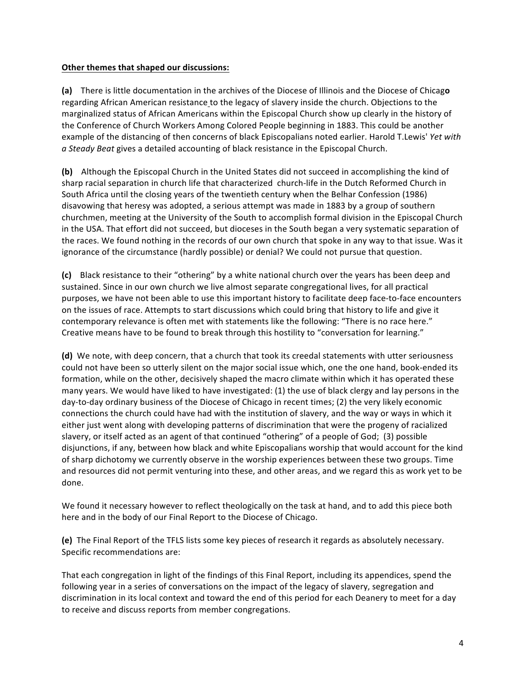#### **Other themes that shaped our discussions:**

**(a)** There is little documentation in the archives of the Diocese of Illinois and the Diocese of Chicago regarding African American resistance to the legacy of slavery inside the church. Objections to the marginalized status of African Americans within the Episcopal Church show up clearly in the history of the Conference of Church Workers Among Colored People beginning in 1883. This could be another example of the distancing of then concerns of black Episcopalians noted earlier. Harold T.Lewis' *Yet with a* Steady Beat gives a detailed accounting of black resistance in the Episcopal Church.

**(b)** Although the Episcopal Church in the United States did not succeed in accomplishing the kind of sharp racial separation in church life that characterized church-life in the Dutch Reformed Church in South Africa until the closing years of the twentieth century when the Belhar Confession (1986) disavowing that heresy was adopted, a serious attempt was made in 1883 by a group of southern churchmen, meeting at the University of the South to accomplish formal division in the Episcopal Church in the USA. That effort did not succeed, but dioceses in the South began a very systematic separation of the races. We found nothing in the records of our own church that spoke in any way to that issue. Was it ignorance of the circumstance (hardly possible) or denial? We could not pursue that question.

**(c)** Black resistance to their "othering" by a white national church over the years has been deep and sustained. Since in our own church we live almost separate congregational lives, for all practical purposes, we have not been able to use this important history to facilitate deep face-to-face encounters on the issues of race. Attempts to start discussions which could bring that history to life and give it contemporary relevance is often met with statements like the following: "There is no race here." Creative means have to be found to break through this hostility to "conversation for learning."

**(d)** We note, with deep concern, that a church that took its creedal statements with utter seriousness could not have been so utterly silent on the major social issue which, one the one hand, book-ended its formation, while on the other, decisively shaped the macro climate within which it has operated these many years. We would have liked to have investigated: (1) the use of black clergy and lay persons in the day-to-day ordinary business of the Diocese of Chicago in recent times; (2) the very likely economic connections the church could have had with the institution of slavery, and the way or ways in which it either just went along with developing patterns of discrimination that were the progeny of racialized slavery, or itself acted as an agent of that continued "othering" of a people of God; (3) possible disjunctions, if any, between how black and white Episcopalians worship that would account for the kind of sharp dichotomy we currently observe in the worship experiences between these two groups. Time and resources did not permit venturing into these, and other areas, and we regard this as work yet to be done. 

We found it necessary however to reflect theologically on the task at hand, and to add this piece both here and in the body of our Final Report to the Diocese of Chicago.

**(e)** The Final Report of the TFLS lists some key pieces of research it regards as absolutely necessary. Specific recommendations are:

That each congregation in light of the findings of this Final Report, including its appendices, spend the following year in a series of conversations on the impact of the legacy of slavery, segregation and discrimination in its local context and toward the end of this period for each Deanery to meet for a day to receive and discuss reports from member congregations.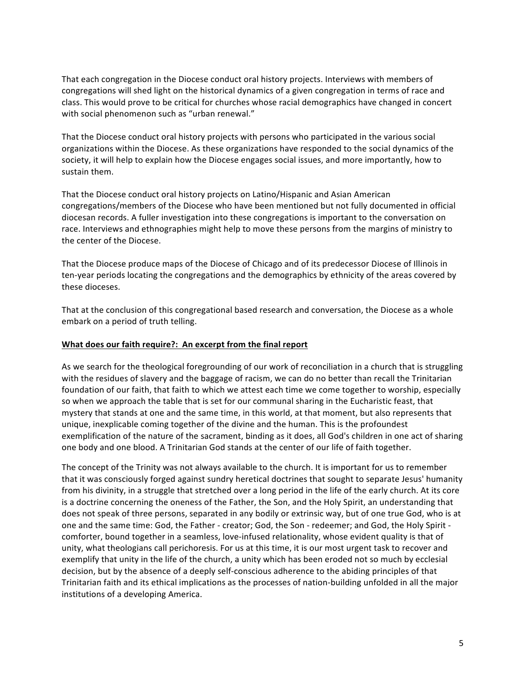That each congregation in the Diocese conduct oral history projects. Interviews with members of congregations will shed light on the historical dynamics of a given congregation in terms of race and class. This would prove to be critical for churches whose racial demographics have changed in concert with social phenomenon such as "urban renewal."

That the Diocese conduct oral history projects with persons who participated in the various social organizations within the Diocese. As these organizations have responded to the social dynamics of the society, it will help to explain how the Diocese engages social issues, and more importantly, how to sustain them.

That the Diocese conduct oral history projects on Latino/Hispanic and Asian American congregations/members of the Diocese who have been mentioned but not fully documented in official diocesan records. A fuller investigation into these congregations is important to the conversation on race. Interviews and ethnographies might help to move these persons from the margins of ministry to the center of the Diocese.

That the Diocese produce maps of the Diocese of Chicago and of its predecessor Diocese of Illinois in ten-year periods locating the congregations and the demographics by ethnicity of the areas covered by these dioceses.

That at the conclusion of this congregational based research and conversation, the Diocese as a whole embark on a period of truth telling.

#### **What does our faith require?: An excerpt from the final report**

As we search for the theological foregrounding of our work of reconciliation in a church that is struggling with the residues of slavery and the baggage of racism, we can do no better than recall the Trinitarian foundation of our faith, that faith to which we attest each time we come together to worship, especially so when we approach the table that is set for our communal sharing in the Eucharistic feast, that mystery that stands at one and the same time, in this world, at that moment, but also represents that unique, inexplicable coming together of the divine and the human. This is the profoundest exemplification of the nature of the sacrament, binding as it does, all God's children in one act of sharing one body and one blood. A Trinitarian God stands at the center of our life of faith together.

The concept of the Trinity was not always available to the church. It is important for us to remember that it was consciously forged against sundry heretical doctrines that sought to separate Jesus' humanity from his divinity, in a struggle that stretched over a long period in the life of the early church. At its core is a doctrine concerning the oneness of the Father, the Son, and the Holy Spirit, an understanding that does not speak of three persons, separated in any bodily or extrinsic way, but of one true God, who is at one and the same time: God, the Father - creator; God, the Son - redeemer; and God, the Holy Spirit comforter, bound together in a seamless, love-infused relationality, whose evident quality is that of unity, what theologians call perichoresis. For us at this time, it is our most urgent task to recover and exemplify that unity in the life of the church, a unity which has been eroded not so much by ecclesial decision, but by the absence of a deeply self-conscious adherence to the abiding principles of that Trinitarian faith and its ethical implications as the processes of nation-building unfolded in all the major institutions of a developing America.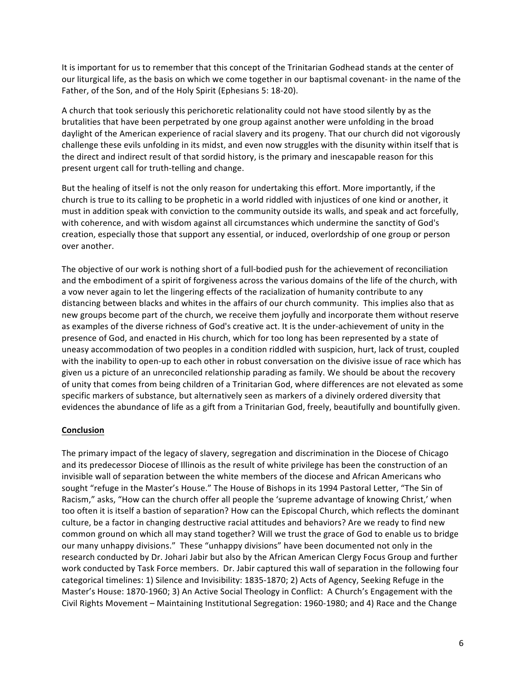It is important for us to remember that this concept of the Trinitarian Godhead stands at the center of our liturgical life, as the basis on which we come together in our baptismal covenant- in the name of the Father, of the Son, and of the Holy Spirit (Ephesians 5: 18-20).

A church that took seriously this perichoretic relationality could not have stood silently by as the brutalities that have been perpetrated by one group against another were unfolding in the broad daylight of the American experience of racial slavery and its progeny. That our church did not vigorously challenge these evils unfolding in its midst, and even now struggles with the disunity within itself that is the direct and indirect result of that sordid history, is the primary and inescapable reason for this present urgent call for truth-telling and change.

But the healing of itself is not the only reason for undertaking this effort. More importantly, if the church is true to its calling to be prophetic in a world riddled with injustices of one kind or another, it must in addition speak with conviction to the community outside its walls, and speak and act forcefully, with coherence, and with wisdom against all circumstances which undermine the sanctity of God's creation, especially those that support any essential, or induced, overlordship of one group or person over another.

The objective of our work is nothing short of a full-bodied push for the achievement of reconciliation and the embodiment of a spirit of forgiveness across the various domains of the life of the church, with a vow never again to let the lingering effects of the racialization of humanity contribute to any distancing between blacks and whites in the affairs of our church community. This implies also that as new groups become part of the church, we receive them joyfully and incorporate them without reserve as examples of the diverse richness of God's creative act. It is the under-achievement of unity in the presence of God, and enacted in His church, which for too long has been represented by a state of uneasy accommodation of two peoples in a condition riddled with suspicion, hurt, lack of trust, coupled with the inability to open-up to each other in robust conversation on the divisive issue of race which has given us a picture of an unreconciled relationship parading as family. We should be about the recovery of unity that comes from being children of a Trinitarian God, where differences are not elevated as some specific markers of substance, but alternatively seen as markers of a divinely ordered diversity that evidences the abundance of life as a gift from a Trinitarian God, freely, beautifully and bountifully given.

#### **Conclusion**

The primary impact of the legacy of slavery, segregation and discrimination in the Diocese of Chicago and its predecessor Diocese of Illinois as the result of white privilege has been the construction of an invisible wall of separation between the white members of the diocese and African Americans who sought "refuge in the Master's House." The House of Bishops in its 1994 Pastoral Letter, "The Sin of Racism," asks, "How can the church offer all people the 'supreme advantage of knowing Christ,' when too often it is itself a bastion of separation? How can the Episcopal Church, which reflects the dominant culture, be a factor in changing destructive racial attitudes and behaviors? Are we ready to find new common ground on which all may stand together? Will we trust the grace of God to enable us to bridge our many unhappy divisions." These "unhappy divisions" have been documented not only in the research conducted by Dr. Johari Jabir but also by the African American Clergy Focus Group and further work conducted by Task Force members. Dr. Jabir captured this wall of separation in the following four categorical timelines: 1) Silence and Invisibility: 1835-1870; 2) Acts of Agency, Seeking Refuge in the Master's House: 1870-1960; 3) An Active Social Theology in Conflict: A Church's Engagement with the Civil Rights Movement - Maintaining Institutional Segregation: 1960-1980; and 4) Race and the Change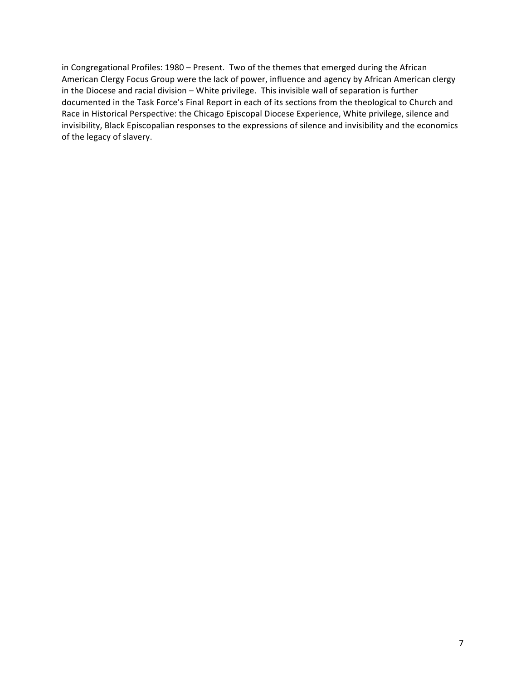in Congregational Profiles: 1980 - Present. Two of the themes that emerged during the African American Clergy Focus Group were the lack of power, influence and agency by African American clergy in the Diocese and racial division – White privilege. This invisible wall of separation is further documented in the Task Force's Final Report in each of its sections from the theological to Church and Race in Historical Perspective: the Chicago Episcopal Diocese Experience, White privilege, silence and invisibility, Black Episcopalian responses to the expressions of silence and invisibility and the economics of the legacy of slavery.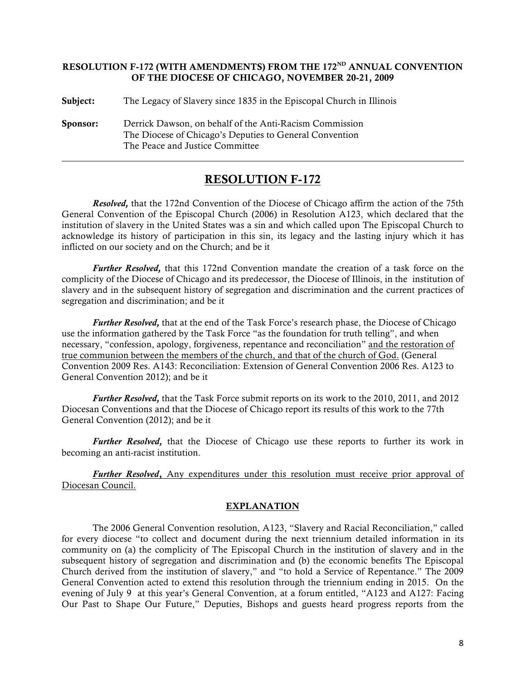## RESOLUTION F-172 (WITH AMENDMENTS) FROM THE 172<sup>ND</sup> ANNUAL CONVENTION OF THE DIOCESE OF CHICAGO, NOVEMBER 20-21, 2009

Subject: The Legacy of Slavery since 1835 in the Episcopal Church in Illinois

Sponsor: Derrick Dawson, on behalf of the Anti-Racism Commission The Diocese of Chicago's Deputies to General Convention The Peace and Justice Committee

# RESOLUTION F-172

*Resolved,* that the 172nd Convention of the Diocese of Chicago affirm the action of the 75th General Convention of the Episcopal Church (2006) in Resolution A123, which declared that the institution of slavery in the United States was a sin and which called upon The Episcopal Church to acknowledge its history of participation in this sin, its legacy and the lasting injury which it has inflicted on our society and on the Church; and be it

*Further Resolved,* that this 172nd Convention mandate the creation of a task force on the complicity of the Diocese of Chicago and its predecessor, the Diocese of Illinois, in the institution of slavery and in the subsequent history of segregation and discrimination and the current practices of segregation and discrimination; and be it

*Further Resolved,* that at the end of the Task Force's research phase, the Diocese of Chicago use the information gathered by the Task Force "as the foundation for truth telling", and when necessary, "confession, apology, forgiveness, repentance and reconciliation" and the restoration of true communion between the members of the church, and that of the church of God. (General Convention 2009 Res. A143: Reconciliation: Extension of General Convention 2006 Res. A123 to General Convention 2012); and be it

*Further Resolved,* that the Task Force submit reports on its work to the 2010, 2011, and 2012 Diocesan Conventions and that the Diocese of Chicago report its results of this work to the 77th General Convention (2012); and be it

*Further Resolved,* that the Diocese of Chicago use these reports to further its work in becoming an anti-racist institution.

*Further Resolved*, Any expenditures under this resolution must receive prior approval of Diocesan Council.

## EXPLANATION

The 2006 General Convention resolution, A123, "Slavery and Racial Reconciliation," called for every diocese "to collect and document during the next triennium detailed information in its community on (a) the complicity of The Episcopal Church in the institution of slavery and in the subsequent history of segregation and discrimination and (b) the economic benefits The Episcopal Church derived from the institution of slavery," and "to hold a Service of Repentance." The 2009 General Convention acted to extend this resolution through the triennium ending in 2015. On the evening of July 9 at this year's General Convention, at a forum entitled, "A123 and A127: Facing Our Past to Shape Our Future," Deputies, Bishops and guests heard progress reports from the